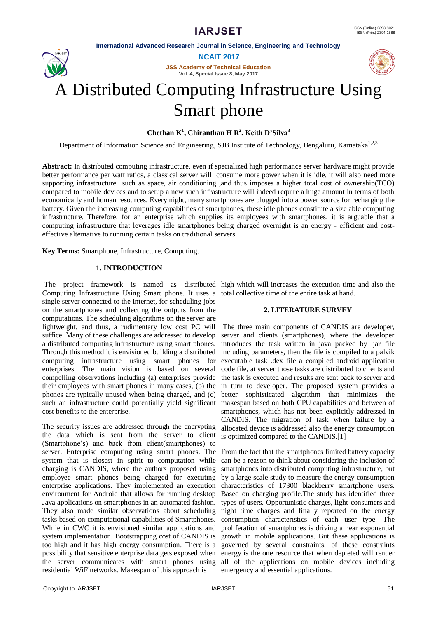**International Advanced Research Journal in Science, Engineering and Technology**



**NCAIT 2017**

**JSS Academy of Technical Education Vol. 4, Special Issue 8, May 2017**



# A Distributed Computing Infrastructure Using Smart phone

**Chethan K<sup>1</sup> , Chiranthan H R<sup>2</sup> , Keith D'Silva<sup>3</sup>**

Department of Information Science and Engineering, SJB Institute of Technology, Bengaluru, Karnataka<sup>1,2,3</sup>

**Abstract:** In distributed computing infrastructure, even if specialized high performance server hardware might provide better performance per watt ratios, a classical server will consume more power when it is idle, it will also need more supporting infrastructure such as space, air conditioning ,and thus imposes a higher total cost of ownership(TCO) compared to mobile devices and to setup a new such infrastructure will indeed require a huge amount in terms of both economically and human resources. Every night, many smartphones are plugged into a power source for recharging the battery. Given the increasing computing capabilities of smartphones, these idle phones constitute a size able computing infrastructure. Therefore, for an enterprise which supplies its employees with smartphones, it is arguable that a computing infrastructure that leverages idle smartphones being charged overnight is an energy - efficient and costeffective alternative to running certain tasks on traditional servers.

**Key Terms:** Smartphone, Infrastructure, Computing.

#### **1. INTRODUCTION**

Computing Infrastructure Using Smart phone. It uses a total collective time of the entire task at hand. single server connected to the Internet, for scheduling jobs on the smartphones and collecting the outputs from the computations. The scheduling algorithms on the server are lightweight, and thus, a rudimentary low cost PC will suffice. Many of these challenges are addressed to develop a distributed computing infrastructure using smart phones. Through this method it is envisioned building a distributed computing infrastructure using smart phones for enterprises. The main vision is based on several compelling observations including (a) enterprises provide their employees with smart phones in many cases, (b) the phones are typically unused when being charged, and (c) such an infrastructure could potentially yield significant makespan based on both CPU capabilities and between of cost benefits to the enterprise.

The security issues are addressed through the encrypting the data which is sent from the server to client (Smartphone's) and back from client(smartphones) to server. Enterprise computing using smart phones. The From the fact that the smartphones limited battery capacity system that is closest in spirit to computation while charging is CANDIS, where the authors proposed using employee smart phones being charged for executing enterprise applications. They implemented an execution environment for Android that allows for running desktop Based on charging profile.The study has identified three Java applications on smartphones in an automated fashion. They also made similar observations about scheduling night time charges and finally reported on the energy tasks based on computational capabilities of Smartphones. While in CWC it is envisioned similar applications and proliferation of smartphones is driving a near exponential system implementation. Bootstrapping cost of CANDIS is growth in mobile applications. But these applications is too high and it has high energy consumption. There is a governed by several constraints, of these constraints possibility that sensitive enterprise data gets exposed when energy is the one resource that when depleted will render the server communicates with smart phones using all of the applications on mobile devices including residential WiFinetworks. Makespan of this approach is

The project framework is named as distributed high which will increases the execution time and also the

#### **2. LITERATURE SURVEY**

The three main components of CANDIS are developer, server and clients (smartphones), where the developer introduces the task written in java packed by .jar file including parameters, then the file is compiled to a palvik executable task .dex file a compiled android application code file, at server those tasks are distributed to clients and the task is executed and results are sent back to server and in turn to developer. The proposed system provides a better sophisticated algorithm that minimizes the smartphones, which has not been explicitly addressed in CANDIS. The migration of task when failure by a allocated device is addressed also the energy consumption is optimized compared to the CANDIS.[1]

can be a reason to think about considering the inclusion of smartphones into distributed computing infrastructure, but by a large scale study to measure the energy consumption characteristics of 17300 blackberry smartphone users. types of users. Opportunistic charges, light-consumers and consumption characteristics of each user type. The emergency and essential applications.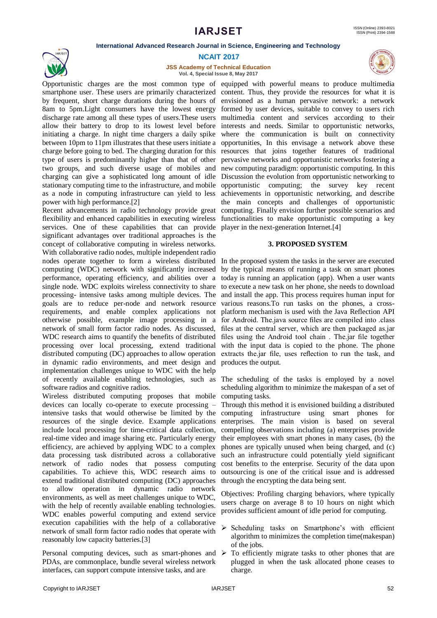#### **International Advanced Research Journal in Science, Engineering and Technology**



#### **NCAIT 2017**

**JSS Academy of Technical Education Vol. 4, Special Issue 8, May 2017**

Opportunistic charges are the most common type of equipped with powerful means to produce multimedia smartphone user. These users are primarily characterized content. Thus, they provide the resources for what it is by frequent, short charge durations during the hours of envisioned as a human pervasive network: a network 8am to 5pm.Light consumers have the lowest energy formed by user devices, suitable to convey to users rich discharge rate among all these types of users.These users multimedia content and services according to their allow their battery to drop to its lowest level before interests and needs. Similar to opportunistic networks, initiating a charge. In night time chargers a daily spike where the communication is built on connectivity between 10pm to 11pm illustrates that these users initiate a opportunities, In this envisage a network above these charge before going to bed. The charging duration for this resources that joins together features of traditional type of users is predominantly higher than that of other pervasive networks and opportunistic networks fostering a two groups, and such diverse usage of mobiles and charging can give a sophisticated long amount of idle stationary computing time to the infrastructure, and mobile as a node in computing infrastructure can yield to less power with high performance.[2]

Recent advancements in radio technology provide great flexibility and enhanced capabilities in executing wireless services. One of these capabilities that can provide significant advantages over traditional approaches is the concept of collaborative computing in wireless networks. With collaborative radio nodes, multiple independent radio nodes operate together to form a wireless distributed In the proposed system the tasks in the server are executed computing (WDC) network with significantly increased performance, operating efficiency, and abilities over a today is running an application (app). When a user wants single node. WDC exploits wireless connectivity to share to execute a new task on her phone, she needs to download processing- intensive tasks among multiple devices. The and install the app. This process requires human input for goals are to reduce per-node and network resource various reasons.To run tasks on the phones, a crossrequirements, and enable complex applications not platform mechanism is used with the Java Reflection API otherwise possible, example image processing in a for Android. The.java source files are compiled into .class network of small form factor radio nodes. As discussed, WDC research aims to quantify the benefits of distributed processing over local processing, extend traditional distributed computing (DC) approaches to allow operation in dynamic radio environments, and meet design and implementation challenges unique to WDC with the help of recently available enabling technologies, such as The scheduling of the tasks is employed by a novel software radios and cognitive radios.

Wireless distributed computing proposes that mobile computing tasks. devices can locally co-operate to execute processing – intensive tasks that would otherwise be limited by the computing infrastructure using smart phones for resources of the single device. Example applications enterprises. The main vision is based on several include local processing for time-critical data collection, compelling observations including (a) enterprises provide real-time video and image sharing etc. Particularly energy their employees with smart phones in many cases, (b) the efficiency, are achieved by applying WDC to a complex phones are typically unused when being charged, and (c) data processing task distributed across a collaborative such an infrastructure could potentially yield significant network of radio nodes that possess computing capabilities. To achieve this, WDC research aims to extend traditional distributed computing (DC) approaches to allow operation in dynamic radio network environments, as well as meet challenges unique to WDC, with the help of recently available enabling technologies. WDC enables powerful computing and extend service execution capabilities with the help of a collaborative network of small form factor radio nodes that operate with reasonably low capacity batteries.[3]

Personal computing devices, such as smart-phones and  $\triangleright$ PDAs, are commonplace, bundle several wireless network interfaces, can support compute intensive tasks, and are

new computing paradigm: opportunistic computing. In this Discussion the evolution from opportunistic networking to opportunistic computing; the survey key recent achievements in opportunistic networking, and describe the main concepts and challenges of opportunistic computing. Finally envision further possible scenarios and functionalities to make opportunistic computing a key player in the next-generation Internet.[4]

#### **3. PROPOSED SYSTEM**

by the typical means of running a task on smart phones files at the central server, which are then packaged as.jar files using the Android tool chain . The.jar file together with the input data is copied to the phone. The phone extracts the.jar file, uses reflection to run the task, and produces the output.

scheduling algorithm to minimize the makespan of a set of

Through this method it is envisioned building a distributed cost benefits to the enterprise. Security of the data upon outsourcing is one of the critical issue and is addressed through the encrypting the data being sent.

Objectives: Profiling charging behaviors, where typically users charge on average 8 to 10 hours on night which provides sufficient amount of idle period for computing.

- $\triangleright$  Scheduling tasks on Smartphone's with efficient algorithm to minimizes the completion time(makespan) of the jobs.
- To efficiently migrate tasks to other phones that are plugged in when the task allocated phone ceases to charge.